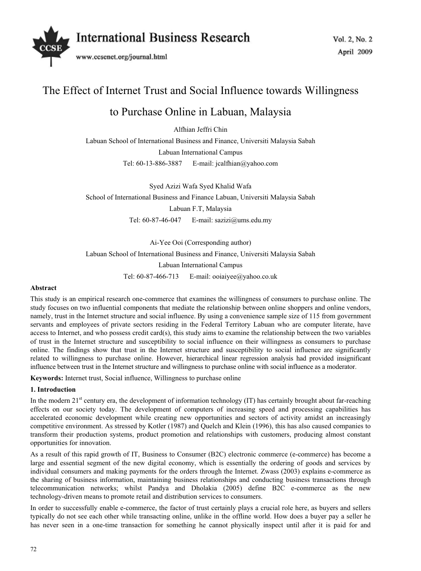

# The Effect of Internet Trust and Social Influence towards Willingness

# to Purchase Online in Labuan, Malaysia

Alfhian Jeffri Chin

Labuan School of International Business and Finance, Universiti Malaysia Sabah Labuan International Campus

Tel: 60-13-886-3887 E-mail: jcalfhian@yahoo.com

Syed Azizi Wafa Syed Khalid Wafa School of International Business and Finance Labuan, Universiti Malaysia Sabah Labuan F.T, Malaysia Tel: 60-87-46-047 E-mail: sazizi@ums.edu.my

Ai-Yee Ooi (Corresponding author)

Labuan School of International Business and Finance, Universiti Malaysia Sabah

Labuan International Campus

Tel: 60-87-466-713 E-mail: ooiaiyee@yahoo.co.uk

# **Abstract**

This study is an empirical research one-commerce that examines the willingness of consumers to purchase online. The study focuses on two influential components that mediate the relationship between online shoppers and online vendors, namely, trust in the Internet structure and social influence. By using a convenience sample size of 115 from government servants and employees of private sectors residing in the Federal Territory Labuan who are computer literate, have access to Internet, and who possess credit card(s), this study aims to examine the relationship between the two variables of trust in the Internet structure and susceptibility to social influence on their willingness as consumers to purchase online. The findings show that trust in the Internet structure and susceptibility to social influence are significantly related to willingness to purchase online. However, hierarchical linear regression analysis had provided insignificant influence between trust in the Internet structure and willingness to purchase online with social influence as a moderator.

**Keywords:** Internet trust, Social influence, Willingness to purchase online

# **1. Introduction**

In the modern  $21^{st}$  century era, the development of information technology (IT) has certainly brought about far-reaching effects on our society today. The development of computers of increasing speed and processing capabilities has accelerated economic development while creating new opportunities and sectors of activity amidst an increasingly competitive environment. As stressed by Kotler (1987) and Quelch and Klein (1996), this has also caused companies to transform their production systems, product promotion and relationships with customers, producing almost constant opportunities for innovation.

As a result of this rapid growth of IT, Business to Consumer (B2C) electronic commerce (e-commerce) has become a large and essential segment of the new digital economy, which is essentially the ordering of goods and services by individual consumers and making payments for the orders through the Internet. Zwass (2003) explains e-commerce as the sharing of business information, maintaining business relationships and conducting business transactions through telecommunication networks; whilst Pandya and Dholakia (2005) define B2C e-commerce as the new technology-driven means to promote retail and distribution services to consumers.

In order to successfully enable e-commerce, the factor of trust certainly plays a crucial role here, as buyers and sellers typically do not see each other while transacting online, unlike in the offline world. How does a buyer pay a seller he has never seen in a one-time transaction for something he cannot physically inspect until after it is paid for and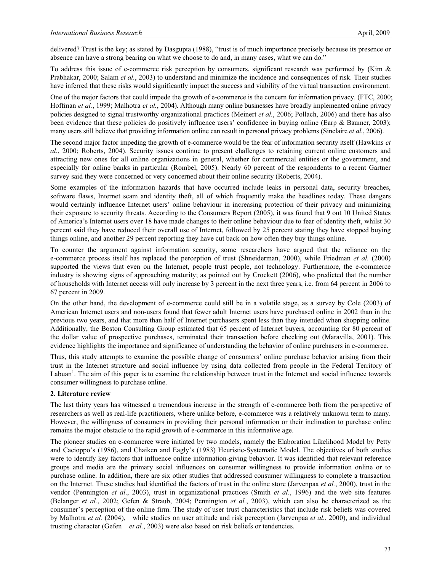delivered? Trust is the key; as stated by Dasgupta (1988), "trust is of much importance precisely because its presence or absence can have a strong bearing on what we choose to do and, in many cases, what we can do."

To address this issue of e-commerce risk perception by consumers, significant research was performed by (Kim & Prabhakar, 2000; Salam *et al.*, 2003) to understand and minimize the incidence and consequences of risk. Their studies have inferred that these risks would significantly impact the success and viability of the virtual transaction environment.

One of the major factors that could impede the growth of e-commerce is the concern for information privacy. (FTC, 2000; Hoffman *et al.*, 1999; Malhotra *et al.*, 2004). Although many online businesses have broadly implemented online privacy policies designed to signal trustworthy organizational practices (Meinert *et al.*, 2006; Pollach, 2006) and there has also been evidence that these policies do positively influence users' confidence in buying online (Earp & Baumer, 2003); many users still believe that providing information online can result in personal privacy problems (Sinclaire *et al.*, 2006).

The second major factor impeding the growth of e-commerce would be the fear of information security itself (Hawkins *et al.*, 2000; Roberts, 2004). Security issues continue to present challenges to retaining current online customers and attracting new ones for all online organizations in general, whether for commercial entities or the government, and especially for online banks in particular (Rombel, 2005). Nearly 60 percent of the respondents to a recent Gartner survey said they were concerned or very concerned about their online security (Roberts, 2004).

Some examples of the information hazards that have occurred include leaks in personal data, security breaches, software flaws, Internet scam and identity theft, all of which frequently make the headlines today. These dangers would certainly influence Internet users' online behaviour in increasing protection of their privacy and minimizing their exposure to security threats. According to the Consumers Report (2005), it was found that 9 out 10 United States of America's Internet users over 18 have made changes to their online behaviour due to fear of identity theft, whilst 30 percent said they have reduced their overall use of Internet, followed by 25 percent stating they have stopped buying things online, and another 29 percent reporting they have cut back on how often they buy things online.

To counter the argument against information security, some researchers have argued that the reliance on the e-commerce process itself has replaced the perception of trust (Shneiderman, 2000), while Friedman *et al.* (2000) supported the views that even on the Internet, people trust people, not technology. Furthermore, the e-commerce industry is showing signs of approaching maturity; as pointed out by Crockett (2006), who predicted that the number of households with Internet access will only increase by 3 percent in the next three years, i.e. from 64 percent in 2006 to 67 percent in 2009.

On the other hand, the development of e-commerce could still be in a volatile stage, as a survey by Cole (2003) of American Internet users and non-users found that fewer adult Internet users have purchased online in 2002 than in the previous two years, and that more than half of Internet purchasers spent less than they intended when shopping online. Additionally, the Boston Consulting Group estimated that 65 percent of Internet buyers, accounting for 80 percent of the dollar value of prospective purchases, terminated their transaction before checking out (Maravilla, 2001). This evidence highlights the importance and significance of understanding the behavior of online purchasers in e-commerce.

Thus, this study attempts to examine the possible change of consumers' online purchase behavior arising from their trust in the Internet structure and social influence by using data collected from people in the Federal Territory of Labuan<sup>1</sup>. The aim of this paper is to examine the relationship between trust in the Internet and social influence towards consumer willingness to purchase online.

#### **2. Literature review**

The last thirty years has witnessed a tremendous increase in the strength of e-commerce both from the perspective of researchers as well as real-life practitioners, where unlike before, e-commerce was a relatively unknown term to many. However, the willingness of consumers in providing their personal information or their inclination to purchase online remains the major obstacle to the rapid growth of e-commerce in this informative age.

The pioneer studies on e-commerce were initiated by two models, namely the Elaboration Likelihood Model by Petty and Cacioppo's (1986), and Chaiken and Eagly's (1983) Heuristic-Systematic Model. The objectives of both studies were to identify key factors that influence online information-giving behavior. It was identified that relevant reference groups and media are the primary social influences on consumer willingness to provide information online or to purchase online. In addition, there are six other studies that addressed consumer willingness to complete a transaction on the Internet. These studies had identified the factors of trust in the online store (Jarvenpaa *et al.*, 2000), trust in the vendor (Pennington *et al*., 2003), trust in organizational practices (Smith *et al.*, 1996) and the web site features (Belanger *et al.*, 2002; Gefen & Straub, 2004; Pennington *et al.*, 2003), which can also be characterized as the consumer's perception of the online firm. The study of user trust characteristics that include risk beliefs was covered by Malhotra *et al.* (2004), while studies on user attitude and risk perception (Jarvenpaa *et al.*, 2000), and individual trusting character (Gefen *et al.*, 2003) were also based on risk beliefs or tendencies.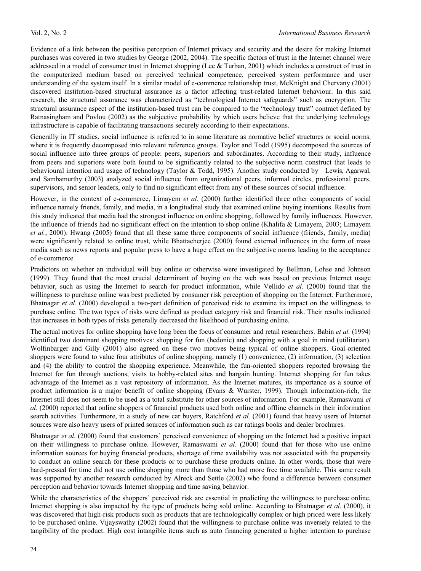Evidence of a link between the positive perception of Internet privacy and security and the desire for making Internet purchases was covered in two studies by George (2002, 2004). The specific factors of trust in the Internet channel were addressed in a model of consumer trust in Internet shopping (Lee & Turban, 2001) which includes a construct of trust in the computerized medium based on perceived technical competence, perceived system performance and user understanding of the system itself. In a similar model of e-commerce relationship trust, McKnight and Chervany (2001) discovered institution-based structural assurance as a factor affecting trust-related Internet behaviour. In this said research, the structural assurance was characterized as "technological Internet safeguards" such as encryption. The structural assurance aspect of the institution-based trust can be compared to the "technology trust" contract defined by Ratnasingham and Povlou (2002) as the subjective probability by which users believe that the underlying technology infrastructure is capable of facilitating transactions securely according to their expectations.

Generally in IT studies, social influence is referred to in some literature as normative belief structures or social norms, where it is frequently decomposed into relevant reference groups. Taylor and Todd (1995) decomposed the sources of social influence into three groups of people: peers, superiors and subordinates. According to their study, influence from peers and superiors were both found to be significantly related to the subjective norm construct that leads to behavioural intention and usage of technology (Taylor & Todd, 1995). Another study conducted by Lewis, Agarwal, and Sambamurthy (2003) analyzed social influence from organizational peers, informal circles, professional peers, supervisors, and senior leaders, only to find no significant effect from any of these sources of social influence.

However, in the context of e-commerce, Limayem *et al.* (2000) further identified three other components of social influence namely friends, family, and media, in a longitudinal study that examined online buying intentions. Results from this study indicated that media had the strongest influence on online shopping, followed by family influences. However, the influence of friends had no significant effect on the intention to shop online (Khalifa & Limayem, 2003; Limayem *et al.*, 2000). Hwang (2005) found that all these same three components of social influence (friends, family, media) were significantly related to online trust, while Bhattacherjee (2000) found external influences in the form of mass media such as news reports and popular press to have a huge effect on the subjective norms leading to the acceptance of e-commerce.

Predictors on whether an individual will buy online or otherwise were investigated by Bellman, Lohse and Johnson (1999). They found that the most crucial determinant of buying on the web was based on previous Internet usage behavior, such as using the Internet to search for product information, while Vellido *et al.* (2000) found that the willingness to purchase online was best predicted by consumer risk perception of shopping on the Internet. Furthermore, Bhatnagar *et al.* (2000) developed a two-part definition of perceived risk to examine its impact on the willingness to purchase online. The two types of risks were defined as product category risk and financial risk. Their results indicated that increases in both types of risks generally decreased the likelihood of purchasing online.

The actual motives for online shopping have long been the focus of consumer and retail researchers. Babin *et al.* (1994) identified two dominant shopping motives: shopping for fun (hedonic) and shopping with a goal in mind (utilitarian). Wolfinbarger and Gilly (2001) also agreed on these two motives being typical of online shoppers. Goal-oriented shoppers were found to value four attributes of online shopping, namely (1) convenience, (2) information, (3) selection and (4) the ability to control the shopping experience. Meanwhile, the fun-oriented shoppers reported browsing the Internet for fun through auctions, visits to hobby-related sites and bargain hunting. Internet shopping for fun takes advantage of the Internet as a vast repository of information. As the Internet matures, its importance as a source of product information is a major benefit of online shopping (Evans & Wurster, 1999). Though information-rich, the Internet still does not seem to be used as a total substitute for other sources of information. For example, Ramaswami *et al.* (2000) reported that online shoppers of financial products used both online and offline channels in their information search activities. Furthermore, in a study of new car buyers, Ratchford *et al.* (2001) found that heavy users of Internet sources were also heavy users of printed sources of information such as car ratings books and dealer brochures.

Bhatnagar *et al.* (2000) found that customers' perceived convenience of shopping on the Internet had a positive impact on their willingness to purchase online. However, Ramaswami *et al.* (2000) found that for those who use online information sources for buying financial products, shortage of time availability was not associated with the propensity to conduct an online search for these products or to purchase these products online. In other words, those that were hard-pressed for time did not use online shopping more than those who had more free time available. This same result was supported by another research conducted by Alreck and Settle (2002) who found a difference between consumer perception and behavior towards Internet shopping and time saving behavior.

While the characteristics of the shoppers' perceived risk are essential in predicting the willingness to purchase online, Internet shopping is also impacted by the type of products being sold online. According to Bhatnagar *et al.* (2000), it was discovered that high-risk products such as products that are technologically complex or high priced were less likely to be purchased online. Vijayswathy (2002) found that the willingness to purchase online was inversely related to the tangibility of the product. High cost intangible items such as auto financing generated a higher intention to purchase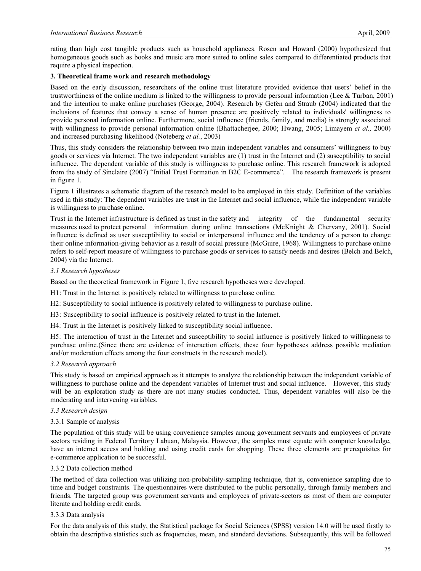rating than high cost tangible products such as household appliances. Rosen and Howard (2000) hypothesized that homogeneous goods such as books and music are more suited to online sales compared to differentiated products that require a physical inspection.

### **3. Theoretical frame work and research methodology**

Based on the early discussion, researchers of the online trust literature provided evidence that users' belief in the trustworthiness of the online medium is linked to the willingness to provide personal information (Lee & Turban, 2001) and the intention to make online purchases (George, 2004). Research by Gefen and Straub (2004) indicated that the inclusions of features that convey a sense of human presence are positively related to individuals' willingness to provide personal information online. Furthermore, social influence (friends, family, and media) is strongly associated with willingness to provide personal information online (Bhattacherjee, 2000; Hwang, 2005; Limayem *et al.,* 2000) and increased purchasing likelihood (Noteberg *et al.*, 2003)

Thus, this study considers the relationship between two main independent variables and consumers' willingness to buy goods or services via Internet. The two independent variables are (1) trust in the Internet and (2) susceptibility to social influence. The dependent variable of this study is willingness to purchase online. This research framework is adopted from the study of Sinclaire (2007) "Initial Trust Formation in B2C E-commerce". The research framework is present in figure 1.

Figure 1 illustrates a schematic diagram of the research model to be employed in this study. Definition of the variables used in this study: The dependent variables are trust in the Internet and social influence, while the independent variable is willingness to purchase online.

Trust in the Internet infrastructure is defined as trust in the safety and integrity of the fundamental security measures used to protect personal information during online transactions (McKnight & Chervany, 2001). Social influence is defined as user susceptibility to social or interpersonal influence and the tendency of a person to change their online information-giving behavior as a result of social pressure (McGuire, 1968). Willingness to purchase online refers to self-report measure of willingness to purchase goods or services to satisfy needs and desires (Belch and Belch, 2004) via the Internet.

#### *3.1 Research hypotheses*

Based on the theoretical framework in Figure 1, five research hypotheses were developed.

H1: Trust in the Internet is positively related to willingness to purchase online.

H2: Susceptibility to social influence is positively related to willingness to purchase online.

H3: Susceptibility to social influence is positively related to trust in the Internet.

H4: Trust in the Internet is positively linked to susceptibility social influence.

H5: The interaction of trust in the Internet and susceptibility to social influence is positively linked to willingness to purchase online.(Since there are evidence of interaction effects, these four hypotheses address possible mediation and/or moderation effects among the four constructs in the research model).

# *3.2 Research approach*

This study is based on empirical approach as it attempts to analyze the relationship between the independent variable of willingness to purchase online and the dependent variables of Internet trust and social influence. However, this study will be an exploration study as there are not many studies conducted. Thus, dependent variables will also be the moderating and intervening variables.

#### *3.3 Research design*

#### 3.3.1 Sample of analysis

The population of this study will be using convenience samples among government servants and employees of private sectors residing in Federal Territory Labuan, Malaysia. However, the samples must equate with computer knowledge, have an internet access and holding and using credit cards for shopping. These three elements are prerequisites for e-commerce application to be successful.

#### 3.3.2 Data collection method

The method of data collection was utilizing non-probability-sampling technique, that is, convenience sampling due to time and budget constraints. The questionnaires were distributed to the public personally, through family members and friends. The targeted group was government servants and employees of private-sectors as most of them are computer literate and holding credit cards.

#### 3.3.3 Data analysis

For the data analysis of this study, the Statistical package for Social Sciences (SPSS) version 14.0 will be used firstly to obtain the descriptive statistics such as frequencies, mean, and standard deviations. Subsequently, this will be followed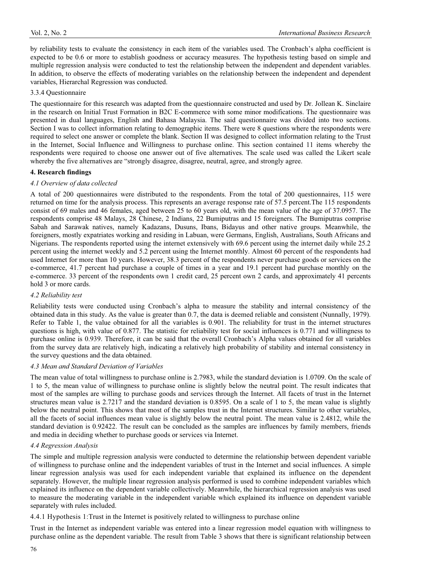by reliability tests to evaluate the consistency in each item of the variables used. The Cronbach's alpha coefficient is expected to be 0.6 or more to establish goodness or accuracy measures. The hypothesis testing based on simple and multiple regression analysis were conducted to test the relationship between the independent and dependent variables. In addition, to observe the effects of moderating variables on the relationship between the independent and dependent variables, Hierarchal Regression was conducted.

#### 3.3.4 Questionnaire

The questionnaire for this research was adapted from the questionnaire constructed and used by Dr. Jollean K. Sinclaire in the research on Initial Trust Formation in B2C E-commerce with some minor modifications. The questionnaire was presented in dual languages, English and Bahasa Malaysia. The said questionnaire was divided into two sections. Section I was to collect information relating to demographic items. There were 8 questions where the respondents were required to select one answer or complete the blank. Section II was designed to collect information relating to the Trust in the Internet, Social Influence and Willingness to purchase online. This section contained 11 items whereby the respondents were required to choose one answer out of five alternatives. The scale used was called the Likert scale whereby the five alternatives are "strongly disagree, disagree, neutral, agree, and strongly agree.

#### **4. Research findings**

#### *4.1 Overview of data collected*

A total of 200 questionnaires were distributed to the respondents. From the total of 200 questionnaires, 115 were returned on time for the analysis process. This represents an average response rate of 57.5 percent.The 115 respondents consist of 69 males and 46 females, aged between 25 to 60 years old, with the mean value of the age of 37.0957. The respondents comprise 48 Malays, 28 Chinese, 2 Indians, 22 Bumiputras and 15 foreigners. The Bumiputras comprise Sabah and Sarawak natives, namely Kadazans, Dusuns, Ibans, Bidayus and other native groups. Meanwhile, the foreigners, mostly expatriates working and residing in Labuan, were Germans, English, Australians, South Africans and Nigerians. The respondents reported using the internet extensively with 69.6 percent using the internet daily while 25.2 percent using the internet weekly and 5.2 percent using the Internet monthly. Almost 60 percent of the respondents had used Internet for more than 10 years. However, 38.3 percent of the respondents never purchase goods or services on the e-commerce, 41.7 percent had purchase a couple of times in a year and 19.1 percent had purchase monthly on the e-commerce. 33 percent of the respondents own 1 credit card, 25 percent own 2 cards, and approximately 41 percents hold 3 or more cards.

#### *4.2 Reliability test*

Reliability tests were conducted using Cronbach's alpha to measure the stability and internal consistency of the obtained data in this study. As the value is greater than 0.7, the data is deemed reliable and consistent (Nunnally, 1979). Refer to Table 1, the value obtained for all the variables is 0.901. The reliability for trust in the internet structures questions is high, with value of 0.877. The statistic for reliability test for social influences is 0.771 and willingness to purchase online is 0.939. Therefore, it can be said that the overall Cronbach's Alpha values obtained for all variables from the survey data are relatively high, indicating a relatively high probability of stability and internal consistency in the survey questions and the data obtained.

#### *4.3 Mean and Standard Deviation of Variables*

The mean value of total willingness to purchase online is 2.7983, while the standard deviation is 1.0709. On the scale of 1 to 5, the mean value of willingness to purchase online is slightly below the neutral point. The result indicates that most of the samples are willing to purchase goods and services through the Internet. All facets of trust in the Internet structures mean value is 2.7217 and the standard deviation is 0.8595. On a scale of 1 to 5, the mean value is slightly below the neutral point. This shows that most of the samples trust in the Internet structures. Similar to other variables, all the facets of social influences mean value is slightly below the neutral point. The mean value is 2.4812, while the standard deviation is 0.92422. The result can be concluded as the samples are influences by family members, friends and media in deciding whether to purchase goods or services via Internet.

# *4.4 Regression Analysis*

The simple and multiple regression analysis were conducted to determine the relationship between dependent variable of willingness to purchase online and the independent variables of trust in the Internet and social influences. A simple linear regression analysis was used for each independent variable that explained its influence on the dependent separately. However, the multiple linear regression analysis performed is used to combine independent variables which explained its influence on the dependent variable collectively. Meanwhile, the hierarchical regression analysis was used to measure the moderating variable in the independent variable which explained its influence on dependent variable separately with rules included.

4.4.1 Hypothesis 1:Trust in the Internet is positively related to willingness to purchase online

Trust in the Internet as independent variable was entered into a linear regression model equation with willingness to purchase online as the dependent variable. The result from Table 3 shows that there is significant relationship between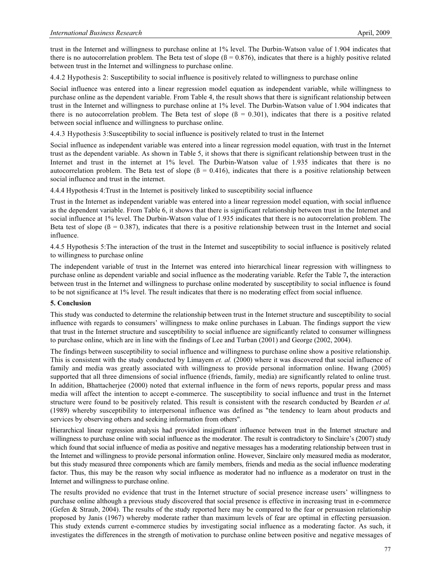trust in the Internet and willingness to purchase online at 1% level. The Durbin-Watson value of 1.904 indicates that there is no autocorrelation problem. The Beta test of slope  $(\beta = 0.876)$ , indicates that there is a highly positive related between trust in the Internet and willingness to purchase online.

4.4.2 Hypothesis 2: Susceptibility to social influence is positively related to willingness to purchase online

Social influence was entered into a linear regression model equation as independent variable, while willingness to purchase online as the dependent variable. From Table 4, the result shows that there is significant relationship between trust in the Internet and willingness to purchase online at 1% level. The Durbin-Watson value of 1.904 indicates that there is no autocorrelation problem. The Beta test of slope  $(β = 0.301)$ , indicates that there is a positive related between social influence and willingness to purchase online.

4.4.3 Hypothesis 3:Susceptibility to social influence is positively related to trust in the Internet

Social influence as independent variable was entered into a linear regression model equation, with trust in the Internet trust as the dependent variable. As shown in Table 5, it shows that there is significant relationship between trust in the Internet and trust in the internet at 1% level. The Durbin-Watson value of 1.935 indicates that there is no autocorrelation problem. The Beta test of slope  $(β = 0.416)$ , indicates that there is a positive relationship between social influence and trust in the internet.

4.4.4 Hypothesis 4:Trust in the Internet is positively linked to susceptibility social influence

Trust in the Internet as independent variable was entered into a linear regression model equation, with social influence as the dependent variable. From Table 6, it shows that there is significant relationship between trust in the Internet and social influence at 1% level. The Durbin-Watson value of 1.935 indicates that there is no autocorrelation problem. The Beta test of slope ( $\beta = 0.387$ ), indicates that there is a positive relationship between trust in the Internet and social influence.

4.4.5 Hypothesis 5:The interaction of the trust in the Internet and susceptibility to social influence is positively related to willingness to purchase online

The independent variable of trust in the Internet was entered into hierarchical linear regression with willingness to purchase online as dependent variable and social influence as the moderating variable. Refer the Table 7**,** the interaction between trust in the Internet and willingness to purchase online moderated by susceptibility to social influence is found to be not significance at 1% level. The result indicates that there is no moderating effect from social influence.

#### **5. Conclusion**

This study was conducted to determine the relationship between trust in the Internet structure and susceptibility to social influence with regards to consumers' willingness to make online purchases in Labuan. The findings support the view that trust in the Internet structure and susceptibility to social influence are significantly related to consumer willingness to purchase online, which are in line with the findings of Lee and Turban (2001) and George (2002, 2004).

The findings between susceptibility to social influence and willingness to purchase online show a positive relationship. This is consistent with the study conducted by Limayem *et. al.* (2000) where it was discovered that social influence of family and media was greatly associated with willingness to provide personal information online. Hwang (2005) supported that all three dimensions of social influence (friends, family, media) are significantly related to online trust. In addition, Bhattacherjee (2000) noted that external influence in the form of news reports, popular press and mass media will affect the intention to accept e-commerce. The susceptibility to social influence and trust in the Internet structure were found to be positively related. This result is consistent with the research conducted by Bearden *et al.* (1989) whereby susceptibility to interpersonal influence was defined as "the tendency to learn about products and services by observing others and seeking information from others".

Hierarchical linear regression analysis had provided insignificant influence between trust in the Internet structure and willingness to purchase online with social influence as the moderator. The result is contradictory to Sinclaire's (2007) study which found that social influence of media as positive and negative messages has a moderating relationship between trust in the Internet and willingness to provide personal information online. However, Sinclaire only measured media as moderator, but this study measured three components which are family members, friends and media as the social influence moderating factor. Thus, this may be the reason why social influence as moderator had no influence as a moderator on trust in the Internet and willingness to purchase online.

The results provided no evidence that trust in the Internet structure of social presence increase users' willingness to purchase online although a previous study discovered that social presence is effective in increasing trust in e-commerce (Gefen & Straub, 2004). The results of the study reported here may be compared to the fear or persuasion relationship proposed by Janis (1967) whereby moderate rather than maximum levels of fear are optimal in effecting persuasion. This study extends current e-commerce studies by investigating social influence as a moderating factor. As such, it investigates the differences in the strength of motivation to purchase online between positive and negative messages of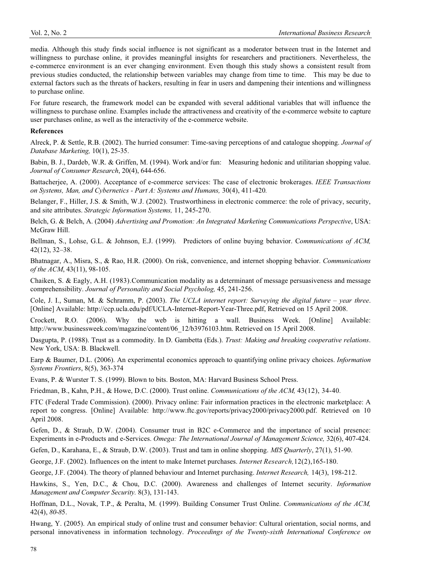media. Although this study finds social influence is not significant as a moderator between trust in the Internet and willingness to purchase online, it provides meaningful insights for researchers and practitioners. Nevertheless, the e-commerce environment is an ever changing environment. Even though this study shows a consistent result from previous studies conducted, the relationship between variables may change from time to time. This may be due to external factors such as the threats of hackers, resulting in fear in users and dampening their intentions and willingness to purchase online.

For future research, the framework model can be expanded with several additional variables that will influence the willingness to purchase online. Examples include the attractiveness and creativity of the e-commerce website to capture user purchases online, as well as the interactivity of the e-commerce website.

#### **References**

Alreck, P. & Settle, R.B. (2002). The hurried consumer: Time-saving perceptions of and catalogue shopping. *Journal of Database Marketing,* 10(1), 25-35.

Babin, B. J., Dardeb, W.R. & Griffen, M. (1994). Work and/or fun: Measuring hedonic and utilitarian shopping value. *Journal of Consumer Research*, 20(4), 644-656.

Battacherjee, A. (2000). Acceptance of e-commerce services: The case of electronic brokerages. *IEEE Transactions on Systems, Man, and Cybernetics - Part A: Systems and Humans,* 30(4), 411-420*.*

Belanger, F., Hiller, J.S. & Smith, W.J. (2002). Trustworthiness in electronic commerce: the role of privacy, security, and site attributes. *Strategic Information Systems,* 11, 245-270.

Belch, G. & Belch, A. (2004) *Advertising and Promotion: An Integrated Marketing Communications Perspective*, USA: McGraw Hill.

Bellman, S., Lohse, G.L. & Johnson, E.J. (1999). Predictors of online buying behavior. C*ommunications of ACM,*  42(12), 32–38.

Bhatnagar, A., Misra, S., & Rao, H.R. (2000). On risk, convenience, and internet shopping behavior. *Communications of the ACM*, 43(11), 98-105.

Chaiken, S. & Eagly, A.H. (1983).Communication modality as a determinant of message persuasiveness and message comprehensibility. *Journal of Personality and Social Psycholog,* 45, 241-256.

Cole, J. I., Suman, M. & Schramm, P. (2003). *The UCLA internet report: Surveying the digital future – year three*. [Online] Available: http://ccp.ucla.edu/pdf/UCLA-Internet-Report-Year-Three.pdf, Retrieved on 15 April 2008.

Crockett, R.O. (2006). Why the web is hitting a wall. Business Week. [Online] Available: http://www.businessweek.com/magazine/content/06 12/b3976103.htm. Retrieved on 15 April 2008.

Dasgupta, P. (1988). Trust as a commodity. In D. Gambetta (Eds.). *Trust: Making and breaking cooperative relations*. New York, USA: B. Blackwell.

Earp & Baumer, D.L. (2006). An experimental economics approach to quantifying online privacy choices. *Information Systems Frontiers*, 8(5), 363-374

Evans, P. & Wurster T. S. (1999). Blown to bits. Boston, MA: Harvard Business School Press.

Friedman, B., Kahn, P.H., & Howe, D.C. (2000). Trust online. *Communications of the ACM,* 43(12), 34-40*.*

FTC (Federal Trade Commission). (2000). Privacy online: Fair information practices in the electronic marketplace: A report to congress. [Online] Available: http://www.ftc.gov/reports/privacy2000/privacy2000.pdf. Retrieved on 10 April 2008.

Gefen, D., & Straub, D.W. (2004). Consumer trust in B2C e-Commerce and the importance of social presence: Experiments in e-Products and e-Services. *Omega: The International Journal of Management Science,* 32(6), 407-424.

Gefen, D., Karahana, E., & Straub, D.W. (2003). Trust and tam in online shopping. *MIS Quarterly*, 27(1), 51-90.

George, J.F. (2002). Influences on the intent to make Internet purchases. *Internet Research,*12(2),165-180.

George, J.F. (2004). The theory of planned behaviour and Internet purchasing. *Internet Research,* 14(3), 198-212.

Hawkins, S., Yen, D.C., & Chou, D.C. (2000). Awareness and challenges of Internet security. *Information Management and Computer Security.* 8(3), 131-143.

Hoffman, D.L., Novak, T.P., & Peralta, M. (1999). Building Consumer Trust Online. *Communications of the ACM,*  42(4), *80-8*5.

Hwang, Y. (2005). An empirical study of online trust and consumer behavior: Cultural orientation, social norms, and personal innovativeness in information technology. *Proceedings of the Twenty-sixth International Conference on*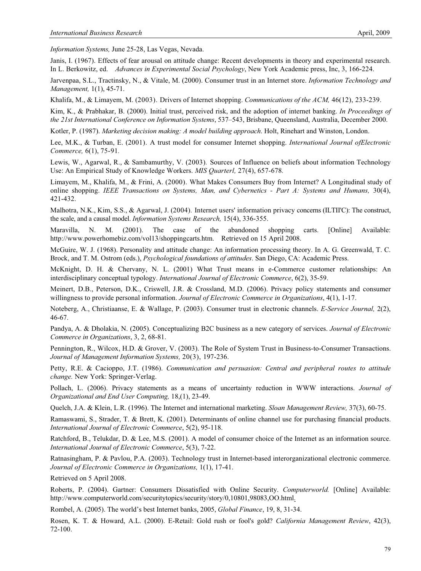*Information Systems,* June 25-28, Las Vegas, Nevada.

Janis, I. (1967). Effects of fear arousal on attitude change: Recent developments in theory and experimental research. In L. Berkowitz, ed. *Advances in Experimental Social Psychology*, New York Academic press, Inc, 3, 166-224.

Jarvenpaa, S.L., Tractinsky, N., & Vitale, M. (2000). Consumer trust in an Internet store. *Information Technology and Management,* 1(1), 45-71.

Khalifa, M., & Limayem, M. (2003). Drivers of Internet shopping. *Communications of the ACM,* 46(12), 233-239.

Kim, K., & Prabhakar, B. (2000). Initial trust, perceived risk, and the adoption of internet banking. *In Proceedings of the 21st International Conference on Information Systems*, 537–543, Brisbane, Queensland, Australia, December 2000.

Kotler, P. (1987). *Marketing decision making: A model building approach*. Holt, Rinehart and Winston, London.

Lee, M.K., & Turban, E. (2001). A trust model for consumer Internet shopping. *International Journal ofElectronic Commerce,* 6(1), 75-91*.*

Lewis, W., Agarwal, R., & Sambamurthy, V. (2003)*.* Sources of Influence on beliefs about information Technology Use: An Empirical Study of Knowledge Workers. *MIS Quarterl,* 27(4), 657-678*.*

Limayem, M., Khalifa, M., & Frini, A. (2000). What Makes Consumers Buy from Internet? A Longitudinal study of online shopping. *IEEE Transactions on Systems, Man, and Cybernetics - Part A: Systems and Humans,* 30(4), 421-432.

Malhotra, N.K., Kim, S.S., & Agarwal, J. (2004)*.* Internet users' information privacy concerns (ILTII'C): The construct, the scale, and a causal model. *Information Systems Research,* 15(4), 336-355.

Maravilla, N. M. (2001). The case of the abandoned shopping carts. [Online] Available: http://www.powerhomebiz.com/vol13/shoppingcarts.htm. Retrieved on 15 April 2008.

McGuire, W. J. (1968). Personality and attitude change: An information processing theory. In A. G. Greenwald, T. C. Brock, and T. M. Ostrom (eds.), *Psychological foundations of attitudes*. San Diego, CA: Academic Press.

McKnight, D. H. & Chervany, N. L. (2001) What Trust means in e-Commerce customer relationships: An interdisciplinary conceptual typology. *International Journal of Electronic Commerce*, 6(2), 35-59.

Meinert, D.B., Peterson, D.K., Criswell, J.R. & Crossland, M.D. (2006). Privacy policy statements and consumer willingness to provide personal information. *Journal of Electronic Commerce in Organizations*, 4(1), 1-17.

Noteberg, A., Christiaanse, E. & Wallage, P. (2003). Consumer trust in electronic channels. *E-Service Journal,* 2(2), 46-67.

Pandya, A. & Dholakia, N. (2005). Conceptualizing B2C business as a new category of services. *Journal of Electronic Commerce in Organizations*, 3, 2, 68-81.

Pennington, R., Wilcox, H.D. & Grover, V. (2003). The Role of System Trust in Business-to-Consumer Transactions. *Journal of Management Information Systems,* 20(3), 197-236.

Petty, R.E. & Cacioppo, J.T. (1986). *Communication and persuasion: Central and peripheral routes to attitude change.* New York: Springer-Verlag.

Pollach, L. (2006). Privacy statements as a means of uncertainty reduction in WWW interactions. *Journal of Organizational and End User Computing,* 18,(1), 23-49.

Quelch, J.A. & Klein, L.R. (1996). The Internet and international marketing. *Sloan Management Review,* 37(3), 60-75.

Ramaswami, S., Strader, T. & Brett, K. (2001). Determinants of online channel use for purchasing financial products. *International Journal of Electronic Commerce*, 5(2), 95-118.

Ratchford, B., Telukdar, D. & Lee, M.S. (2001). A model of consumer choice of the Internet as an information source. *International Journal of Electronic Commerce*, 5(3), 7-22.

Ratnasingham, P. & Pavlou, P.A. (2003). Technology trust in Internet-based interorganizational electronic commerce. *Journal of Electronic Commerce in Organizations,* 1(1), 17-41.

Retrieved on 5 April 2008.

Roberts, P. (2004). Gartner: Consumers Dissatisfied with Online Security. *Computerworld.* [Online] Available: http://www.computerworld.com/securitytopics/security/story/0,10801,98083,OO.html.

Rombel, A. (2005). The world's best Internet banks, 2005, *Global Finance*, 19, 8, 31-34.

Rosen, K. T. & Howard, A.L. (2000). E-Retail: Gold rush or fool's gold? *California Management Review*, 42(3), 72-100.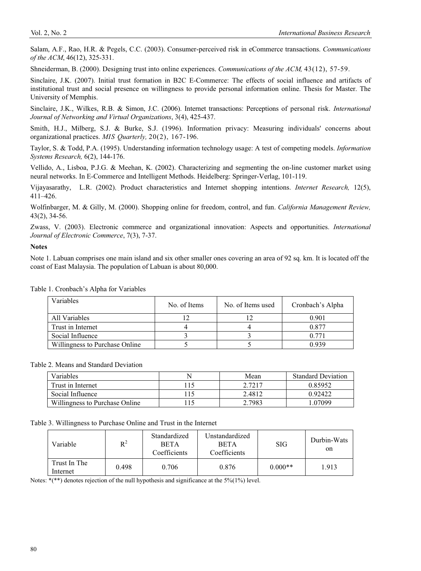Salam, A.F., Rao, H.R. & Pegels, C.C. (2003). Consumer-perceived risk in eCommerce transactions. *Communications of the ACM*, 46(12), 325-331.

Shneiderman, B. (2000). Designing trust into online experiences. *Communications of the ACM,* 43(12), 57-59.

Sinclaire, J.K. (2007). Initial trust formation in B2C E-Commerce: The effects of social influence and artifacts of institutional trust and social presence on willingness to provide personal information online. Thesis for Master. The University of Memphis.

Sinclaire, J.K., Wilkes, R.B. & Simon, J.C. (2006). Internet transactions: Perceptions of personal risk. *International Journal of Networking and Virtual Organizations*, 3(4), 425-437.

Smith, H.J., Milberg, S.J. & Burke, S.J. (1996). Information privacy: Measuring individuals' concerns about organizational practices. *MIS Quarterly,* 20(2), 167-196.

Taylor, S. & Todd, P.A. (1995). Understanding information technology usage: A test of competing models. *Information Systems Research,* 6(2), 144-176.

Vellido, A., Lisboa, P.J.G. & Meehan, K. (2002). Characterizing and segmenting the on-line customer market using neural networks. In E-Commerce and Intelligent Methods. Heidelberg: Springer-Verlag, 101-119.

Vijayasarathy, L.R. (2002). Product characteristics and Internet shopping intentions. *Internet Research,* 12(5), 411–426.

Wolfinbarger, M. & Gilly, M. (2000). Shopping online for freedom, control, and fun. *California Management Review,*  43(2), 34-56.

Zwass, V. (2003). Electronic commerce and organizational innovation: Aspects and opportunities. *International Journal of Electronic Commerce*, 7(3), 7-37.

#### **Notes**

Note 1. Labuan comprises one main island and six other smaller ones covering an area of 92 sq. km. It is located off the coast of East Malaysia. The population of Labuan is about 80,000.

| Variables                      | No. of Items | No. of Items used | Cronbach's Alpha |
|--------------------------------|--------------|-------------------|------------------|
| All Variables                  |              |                   | 0.901            |
| Trust in Internet              |              |                   | 0.877            |
| Social Influence               |              |                   | 0.771            |
| Willingness to Purchase Online |              |                   | 0.939            |

Table 1. Cronbach's Alpha for Variables

Table 2. Means and Standard Deviation

| Variables                      |      | Mean   | <b>Standard Deviation</b> |
|--------------------------------|------|--------|---------------------------|
| Trust in Internet              | 115. | 2.7217 | 0.85952                   |
| Social Influence               |      | 2.4812 | 0.92422                   |
| Willingness to Purchase Online |      | 2.7983 | .07099                    |

Table 3. Willingness to Purchase Online and Trust in the Internet

| Variable                 | $R^2$ | Standardized<br><b>BETA</b><br>Coefficients | Unstandardized<br><b>BETA</b><br>Coefficients | <b>SIG</b> | Durbin-Wats<br>on |
|--------------------------|-------|---------------------------------------------|-----------------------------------------------|------------|-------------------|
| Trust In The<br>Internet | 0.498 | 0.876<br>0.706                              |                                               | $0.000**$  | 1.913             |

Notes: \*(\*\*) denotes rejection of the null hypothesis and significance at the 5%(1%) level.